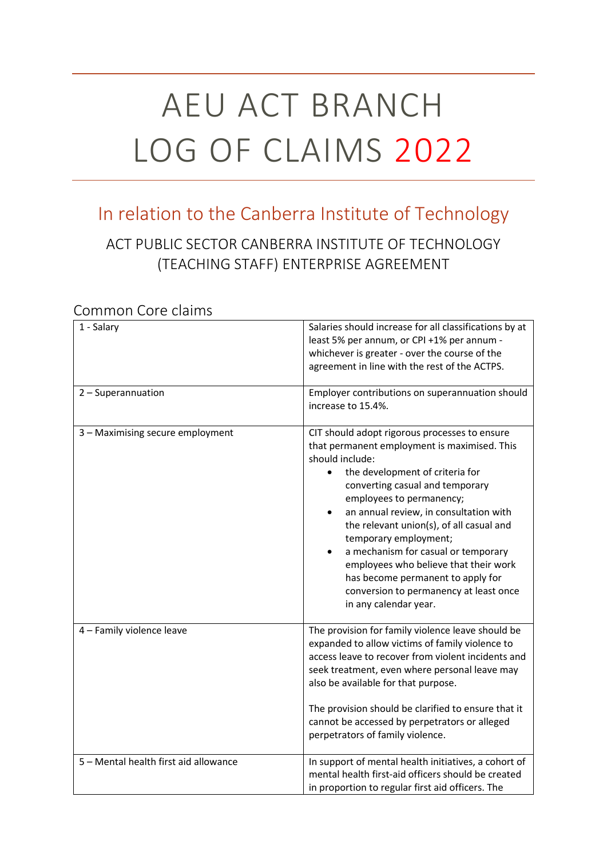# AEU ACT BRANCH LOG OF CLAIMS 2022

# In relation to the Canberra Institute of Technology

## ACT PUBLIC SECTOR CANBERRA INSTITUTE OF TECHNOLOGY (TEACHING STAFF) ENTERPRISE AGREEMENT

#### 1 - Salary Salaries should increase for all classifications by at least 5% per annum, or CPI +1% per annum whichever is greater - over the course of the agreement in line with the rest of the ACTPS. 2 – Superannuation **Employer contributions on superannuation should** increase to 15.4%. 3 – Maximising secure employment CIT should adopt rigorous processes to ensure that permanent employment is maximised. This should include: the development of criteria for converting casual and temporary employees to permanency; an annual review, in consultation with the relevant union(s), of all casual and temporary employment; a mechanism for casual or temporary employees who believe that their work has become permanent to apply for conversion to permanency at least once in any calendar year. 4 – Family violence leave The provision for family violence leave should be expanded to allow victims of family violence to access leave to recover from violent incidents and seek treatment, even where personal leave may also be available for that purpose. The provision should be clarified to ensure that it cannot be accessed by perpetrators or alleged perpetrators of family violence. 5 – Mental health first aid allowance In support of mental health initiatives, a cohort of mental health first-aid officers should be created in proportion to regular first aid officers. The

#### Common Core claims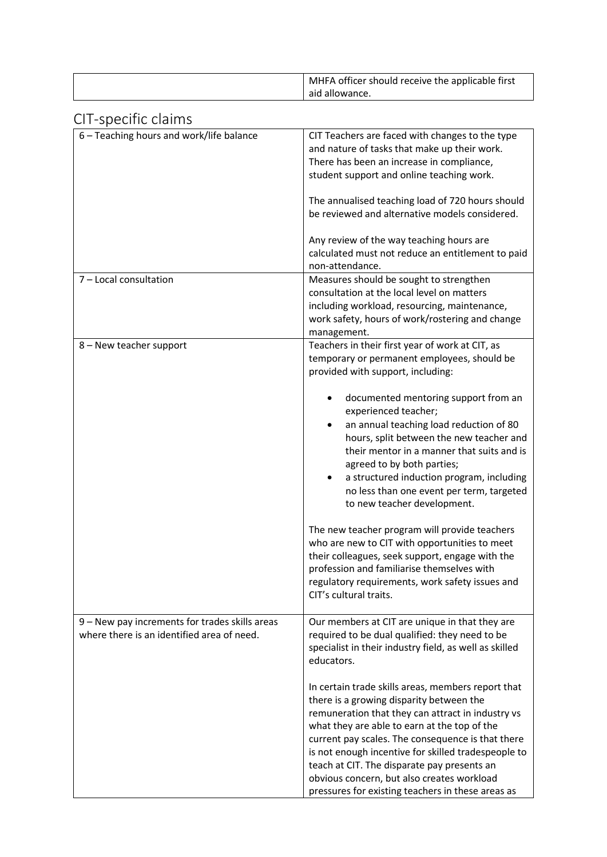| MHFA officer should receive the applicable first |
|--------------------------------------------------|
| aid allowance.                                   |

### CIT-specific claims

| טו ו טאַנטוויט טועווויט                                                                      |                                                                                                                                                                                                                                                                                                                                                                                                                                                                   |
|----------------------------------------------------------------------------------------------|-------------------------------------------------------------------------------------------------------------------------------------------------------------------------------------------------------------------------------------------------------------------------------------------------------------------------------------------------------------------------------------------------------------------------------------------------------------------|
| 6 - Teaching hours and work/life balance                                                     | CIT Teachers are faced with changes to the type<br>and nature of tasks that make up their work.<br>There has been an increase in compliance,<br>student support and online teaching work.<br>The annualised teaching load of 720 hours should<br>be reviewed and alternative models considered.                                                                                                                                                                   |
|                                                                                              | Any review of the way teaching hours are<br>calculated must not reduce an entitlement to paid<br>non-attendance.                                                                                                                                                                                                                                                                                                                                                  |
| 7 - Local consultation                                                                       | Measures should be sought to strengthen<br>consultation at the local level on matters<br>including workload, resourcing, maintenance,<br>work safety, hours of work/rostering and change<br>management.                                                                                                                                                                                                                                                           |
| 8 - New teacher support                                                                      | Teachers in their first year of work at CIT, as<br>temporary or permanent employees, should be<br>provided with support, including:                                                                                                                                                                                                                                                                                                                               |
|                                                                                              | documented mentoring support from an<br>experienced teacher;<br>an annual teaching load reduction of 80<br>hours, split between the new teacher and<br>their mentor in a manner that suits and is<br>agreed to by both parties;<br>a structured induction program, including<br>no less than one event per term, targeted<br>to new teacher development.                                                                                                          |
|                                                                                              | The new teacher program will provide teachers<br>who are new to CIT with opportunities to meet<br>their colleagues, seek support, engage with the<br>profession and familiarise themselves with<br>regulatory requirements, work safety issues and<br>CIT's cultural traits.                                                                                                                                                                                      |
| 9 - New pay increments for trades skills areas<br>where there is an identified area of need. | Our members at CIT are unique in that they are<br>required to be dual qualified: they need to be<br>specialist in their industry field, as well as skilled<br>educators.                                                                                                                                                                                                                                                                                          |
|                                                                                              | In certain trade skills areas, members report that<br>there is a growing disparity between the<br>remuneration that they can attract in industry vs<br>what they are able to earn at the top of the<br>current pay scales. The consequence is that there<br>is not enough incentive for skilled tradespeople to<br>teach at CIT. The disparate pay presents an<br>obvious concern, but also creates workload<br>pressures for existing teachers in these areas as |